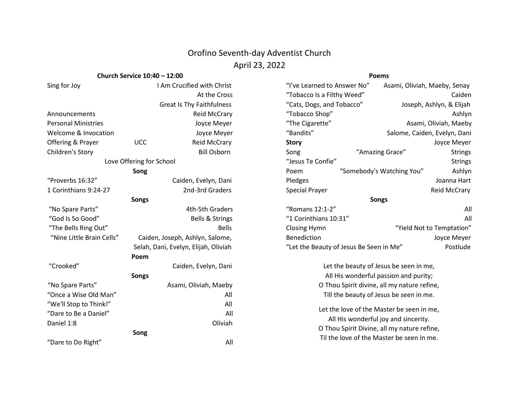# Orofino Seventh-day Adventist Church April 23, 2022

## **Church Service 10:40 – 12:00**

### **Poems**

| Church Service 10:40 – 12:00 |                                      |                                         | <b>Poems</b>                                                |                                           |                              |
|------------------------------|--------------------------------------|-----------------------------------------|-------------------------------------------------------------|-------------------------------------------|------------------------------|
| Sing for Joy                 |                                      | I Am Crucified with Christ              | "I've Learned to Answer No"<br>Asami, Oliviah, Maeby, Senay |                                           |                              |
|                              |                                      | At the Cross                            | "Tobacco Is a Filthy Weed"                                  |                                           | Caiden                       |
|                              |                                      | <b>Great Is Thy Faithfulness</b>        | "Cats, Dogs, and Tobacco"                                   |                                           | Joseph, Ashlyn, & Elijah     |
| Announcements                |                                      | <b>Reid McCrary</b>                     | "Tobacco Shop"                                              |                                           | Ashlyn                       |
| <b>Personal Ministries</b>   |                                      | Joyce Meyer                             | "The Cigarette"                                             |                                           | Asami, Oliviah, Maeby        |
| Welcome & Invocation         |                                      | Joyce Meyer                             | "Bandits"                                                   |                                           | Salome, Caiden, Evelyn, Dani |
| Offering & Prayer            | <b>UCC</b>                           | <b>Reid McCrary</b>                     | <b>Story</b>                                                |                                           | Joyce Meyer                  |
| Children's Story             |                                      | <b>Bill Osborn</b>                      | Song                                                        | "Amazing Grace"                           | <b>Strings</b>               |
| Love Offering for School     |                                      |                                         | "Jesus Te Confie"                                           |                                           | <b>Strings</b>               |
|                              | Song                                 |                                         | Poem                                                        | "Somebody's Watching You"                 | Ashlyn                       |
| "Proverbs 16:32"             |                                      | Caiden, Evelyn, Dani                    | Pledges                                                     |                                           | Joanna Hart                  |
| 1 Corinthians 9:24-27        |                                      | 2nd-3rd Graders                         | <b>Special Prayer</b>                                       |                                           | <b>Reid McCrary</b>          |
| <b>Songs</b>                 |                                      |                                         | <b>Songs</b>                                                |                                           |                              |
| "No Spare Parts"             |                                      | 4th-5th Graders                         | "Romans 12:1-2"                                             |                                           | All                          |
| "God Is So Good"             |                                      | Bells & Strings                         | "1 Corinthians 10:31"                                       |                                           | All                          |
| "The Bells Ring Out"         |                                      | <b>Bells</b>                            | <b>Closing Hymn</b>                                         |                                           | "Yield Not to Temptation"    |
| "Nine Little Brain Cells"    |                                      | Caiden, Joseph, Ashlyn, Salome,         | Benediction                                                 |                                           | Joyce Meyer                  |
|                              | Selah, Dani, Evelyn, Elijah, Oliviah |                                         | Postlude<br>"Let the Beauty of Jesus Be Seen in Me"         |                                           |                              |
|                              | Poem                                 |                                         |                                                             |                                           |                              |
| "Crooked"                    | Caiden, Evelyn, Dani                 |                                         | Let the beauty of Jesus be seen in me,                      |                                           |                              |
| <b>Songs</b>                 |                                      |                                         | All His wonderful passion and purity;                       |                                           |                              |
| "No Spare Parts"             | Asami, Oliviah, Maeby                |                                         | O Thou Spirit divine, all my nature refine,                 |                                           |                              |
| "Once a Wise Old Man"<br>All |                                      | Till the beauty of Jesus be seen in me. |                                                             |                                           |                              |
| "We'll Stop to Think!"       |                                      | All                                     |                                                             |                                           |                              |
| "Dare to Be a Daniel"        |                                      | All                                     | Let the love of the Master be seen in me,                   |                                           |                              |
| Oliviah<br>Daniel 1:8        |                                      | All His wonderful joy and sincerity.    |                                                             |                                           |                              |
| Song                         |                                      |                                         | O Thou Spirit Divine, all my nature refine,                 |                                           |                              |
| "Dare to Do Right"           |                                      | All                                     |                                                             | Til the love of the Master be seen in me. |                              |
|                              |                                      |                                         |                                                             |                                           |                              |